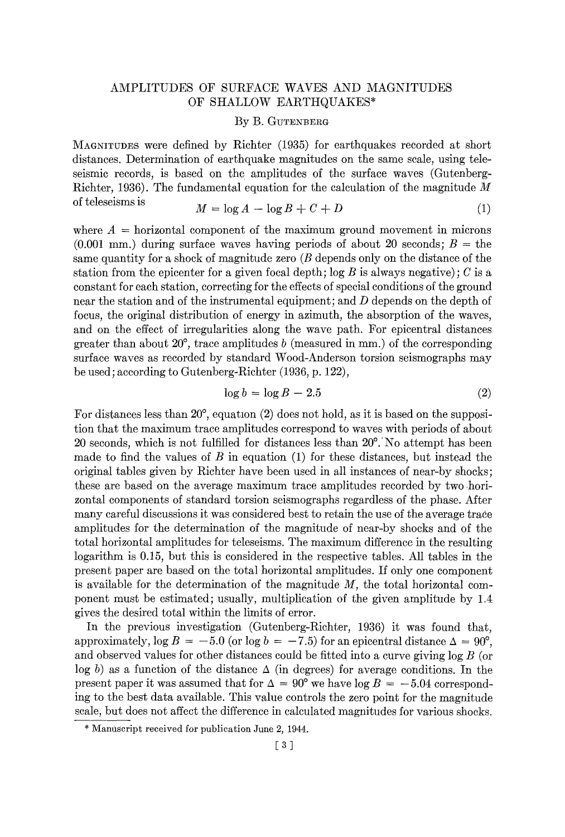## AMPLITUDES OF SURFACE WAVES AND MAGNITUDES OF SHALLOW EARTHQUAKES\*

## By B. GUTENBERG

MAGNITUDES were defined by Richter (1935) for earthquakes recorded at short distances. Determination of earthquake magnitudes on the same scale, using teleseismic records, is based on the amplitudes of the surface waves (Gutenberg-Richter, 1936). The fundamental equation for the calculation of the magnitude  $M$ of teleseisms is  $M = \log A - \log B + C + D$  (1)

$$
M = \log A - \log B + C + D \tag{1}
$$

where  $A =$  horizontal component of the maximum ground movement in microns  $(0.001 \text{ mm.})$  during surface waves having periods of about 20 seconds;  $B =$  the same quantity for a shock of magnitude zero (B depends only on the distance of the station from the epicenter for a given focal depth;  $\log B$  is always negative); C is a constant for each station, correcting for the effects of special conditions of the ground near the station and of the instrumental equipment; and  $D$  depends on the depth of focus, the original distribution of energy in azimuth, the absorption of the waves, and on the effect of irregularities along the wave path. For epicentral distances greater than about  $20^{\circ}$ , trace amplitudes b (measured in mm.) of the corresponding surface waves as recorded by standard Wood-Anderson torsion seismographs may be used; according to Gutenberg-Richter (1936, p. 122),

$$
\log b = \log B - 2.5\tag{2}
$$

For distances less than  $20^{\circ}$ , equation (2) does not hold, as it is based on the supposition that the maximum trace amplitudes correspond to waves with periods of about 20 seconds, which is not fulfilled for distances less than  $20^{\circ}$ . No attempt has been made to find the values of B in equation  $(1)$  for these distances, but instead the original tables given by Richter have been used in all instances of near-by shocks; these are based on the average maximum trace amplitudes recorded by two horizontal components of standard torsion seismographs regardless of the phase. After many careful discussions it was considered best to retain the use of the average trace amplitudes for the determination of the magnitude of near-by shocks and of the total horizontal amplitudes for teleseisms. The maximum difference in the resulting logarithm is 0.15, but this is considered in the respective tables. All tables in the present paper are based on the total horizontal amplitudes. If only one component is available for the determination of the magnitude  $M$ , the total horizontal component must be estimated; usually, multiplication of the given amplitude by 1.4 gives the desired total within the limits of error.

In the previous investigation (Gutenberg-Richter, 1936) it was found that, approximately,  $\log B = -5.0$  (or  $\log b = -7.5$ ) for an epicentral distance  $\Delta = 90^{\circ}$ . and observed values for other distances could be fitted into a curve giving log B (or log b) as a function of the distance  $\Delta$  (in degrees) for average conditions. In the present paper it was assumed that for  $\Delta = 90^{\circ}$  we have  $\log B = -5.04$  corresponding to the best data available. This value controls the zero point for the magnitude scale, but does not affect the difference in calculated magnitudes for various shocks.

<sup>\*</sup> Manuscript received for publication June 2, 1944.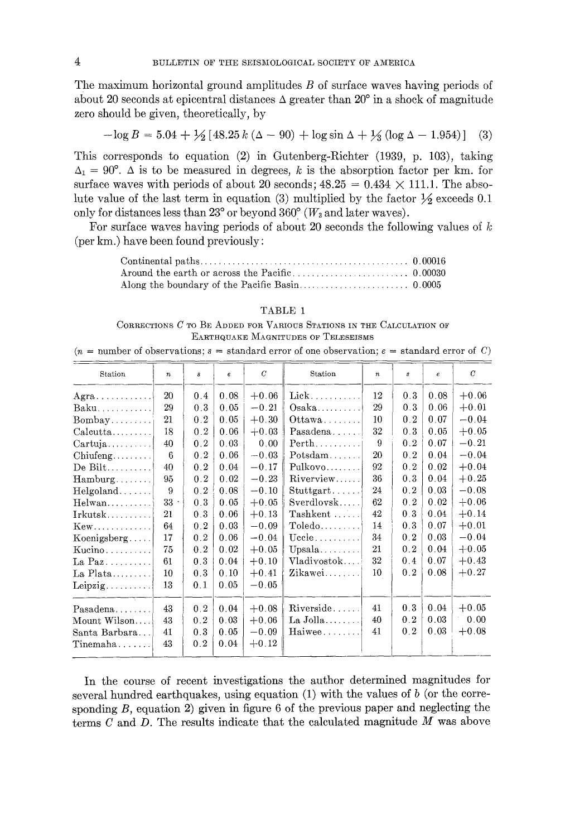The maximum horizontal ground amplitudes  $B$  of surface waves having periods of about 20 seconds at epicentral distances  $\Delta$  greater than 20° in a shock of magnitude zero should be given, theoretically, by

$$
-\log B = 5.04 + \frac{1}{2} [48.25 \, k \, (\Delta - 90) + \log \sin \Delta + \frac{1}{2} \, (\log \Delta - 1.954)] \tag{3}
$$

This corresponds to equation (2) in Gutenberg-Richter (1939, p. 103), taking  $\Delta_1 = 90^\circ$ . A is to be measured in degrees, k is the absorption factor per km. for surface waves with periods of about 20 seconds;  $48.25 = 0.434 \times 111.1$ . The absolute value of the last term in equation (3) multiplied by the factor  $\frac{1}{2}$  exceeds 0.1 only for distances less than 23° or beyond 360° ( $W_3$  and later waves).

For surface waves having periods of about 20 seconds the following values of  $k$ (per km.) have been found previously:

#### TABLE 1

CORRECTIONS C TO BE ADDED FOR VARIOUS STATIONS IN THE CALCULATION OF EARTHQUAKE MAGNITUDES OF TELESEISMS

|  |  |  |  | $(n =$ number of observations: $s =$ standard error of one observation; $e =$ standard error of C) |  |  |  |
|--|--|--|--|----------------------------------------------------------------------------------------------------|--|--|--|
|  |  |  |  |                                                                                                    |  |  |  |

| Station                 | $\boldsymbol{n}$ | $\boldsymbol{s}$ | $\boldsymbol{e}$ | $\mathcal{C}$ | Station            | $\boldsymbol{n}$ | s   | e.   | $\boldsymbol{C}$ |
|-------------------------|------------------|------------------|------------------|---------------|--------------------|------------------|-----|------|------------------|
| Agra                    | 20               | 0.4              | 0.08             | $+0.06$       | $Liek$             | 12               | 0.3 | 0.08 | $+0.06$          |
| $Baku$                  | 29               | 0.3              | 0.05             | $-0.21$       | $Osaka$            | 29               | 0.3 | 0.06 | $+0.01$          |
| $Bombay$                | 21               | 0.2              | 0.05             | $+0.30$       | Ottawa             | 10               | 0.2 | 0.07 | $-0.04$          |
| Calcutta                | 18               | 0.2              | 0.06             | $+0.03$       | Pasadena           | 32               | 0.3 | 0.05 | $+0.05$          |
| Cartuja                 | 40               | 0.2              | 0.03             | 0.00          | $\mathrm{Perth}$   | 9                | 0.2 | 0.07 | $-0.21$          |
| Chiufeng                | 6                | 0.2              | 0.06             | $-0.03$       | Potsdam            | 20               | 0.2 | 0.04 | $-0.04$          |
| De Bilt                 | 40               | 0.2              | 0.04             | $-0.17$       | Pulkovo            | 92               | 0.2 | 0.02 | $+0.04$          |
| $Hamburg \ldots \ldots$ | 95               | 0.2              | 0.02             | $-0.23$       | Riverview          | 36               | 0.3 | 0.04 | $+0.25$          |
| Helgoland               | 9                | 0.2              | 0.08             | $-0.10$       | Stuttgart          | 24               | 0.2 | 0.03 | $-0.08$          |
| $Helwan \ldots$         | $33 -$           | 0.3              | 0.05             | $+0.05$       | Sverdlovsk         | 62               | 0.2 | 0.02 | $+0.06$          |
| $Irkutsk$               | 21               | 0.3              | 0.06             | $+0.13$       | $Taskent$          | 42               | 0.3 | 0.04 | $+0.14$          |
| Kew                     | 64               | 0.2              | 0.03             | $-0.09$       | Toledo             | 14               | 0.3 | 0.07 | $+0.01$          |
| Koenigsberg             | 17               | 0.2              | 0.06             | $-0.04$       | Uecle              | 34               | 0.2 | 0.03 | $-0.04$          |
| Kucino                  | 75               | 0.2              | 0.02             | $+0.05$       | $Upsala$           | 21               | 0.2 | 0.04 | $+0.05$          |
| La $\text{Paz}$         | 61               | 0.3              | 0.04             | $+0.10$       | Vladivostok        | 32               | 0.4 | 0.07 | $+0.43$          |
|                         | 10               | 0.3              | 0.10             | $+0.41$       | Zikawei            | 10               | 0.2 | 0.08 | $+0.27$          |
| Leipzig                 | 13               | 0.1              | 0.05             | $-0.05$       |                    |                  |     |      |                  |
| _________<br>Pasadena   | 43               | 0.2              | 0.04             | $+0.08$       | Riverside          | 41               | 0.3 | 0.04 | $+0.05$          |
| Mount Wilson            | 43               | 0.2              | 0.03             | $+0.06$       | $La$ Jolla $\dots$ | 40               | 0.2 | 0.03 | 0.00             |
| Santa Barbara           | 41               | 0.3              | 0.05             | $-0.09$       | Haiwee             | 41               | 0.2 | 0.03 | $+0.08$          |
| $T$ inemaha             | 43               | 0.2              | 0.04             | $+0.12$       |                    |                  |     |      |                  |

In the course of recent investigations the author determined magnitudes for several hundred earthquakes, using equation  $(1)$  with the values of b (or the corresponding  $B$ , equation 2) given in figure 6 of the previous paper and neglecting the terms C and D. The results indicate that the calculated magnitude  $M$  was above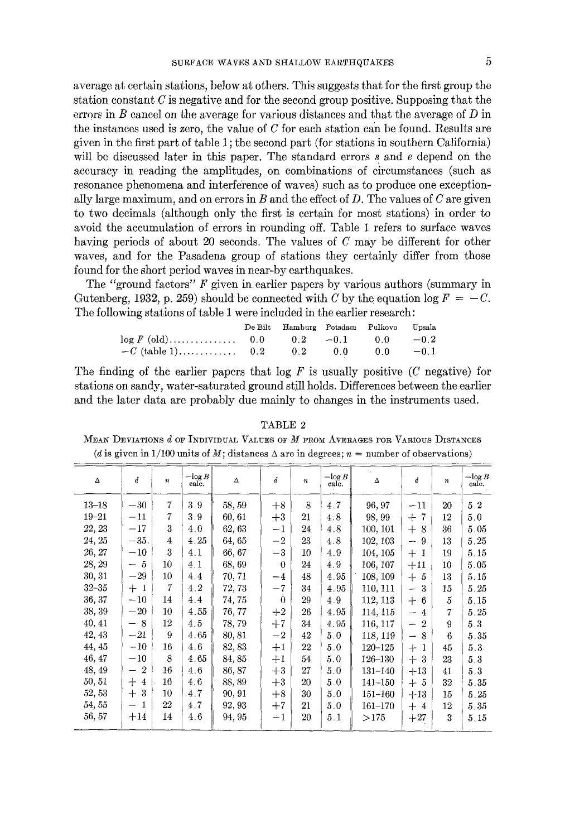average at certain stations, below at others. This suggests that for the first group the station constant  $C$  is negative and for the second group positive. Supposing that the errors in  $B$  cancel on the average for various distances and that the average of  $D$  in the instances used is zero, the value of  $C$  for each station can be found. Results are given in the first part of table 1 ; the second part (for stations in southern California) will be discussed later in this paper. The standard errors s and e depend on the accuracy in reading the amplitudes, on combinations of circumstances (such as resonance phenomena and interference of waves) such as to produce one exceptionally large maximum, and on errors in  $B$  and the effect of  $D$ . The values of  $C$  are given to two decimals (although only the first is certain for most stations) in order to avoid the accumulation of errors in rounding off. Table 1 refers to surface waves having periods of about 20 seconds. The values of C may be different for other waves, and for the Pasadena group of stations they certainly differ from those found for the short period waves in near-by earthquakes.

The "ground factors"  $F$  given in earlier papers by various authors (summary in Gutenberg, 1932, p. 259) should be connected with C by the equation log  $F = -C$ . The following stations of table 1 were included in the earlier research:

|                                      | De Bilt Hamburg Potsdam Pulkovo Upsala |  |  |
|--------------------------------------|----------------------------------------|--|--|
| $\log F$ (old) 0.0 0.2 -0.1 0.0 -0.2 |                                        |  |  |
|                                      |                                        |  |  |

The finding of the earlier papers that  $\log F$  is usually positive (C negative) for stations on sandy, water-saturated ground still holds. Differences between the earlier and the later data are probably due mainly to changes in the instruments used.

TABLE 2 MEAN DEVIATIONS  $d$  of Individual Values of  $M$  from Averages for Various Distances (d is given in 1/100 units of M; distances  $\Delta$  are in degrees;  $n =$  number of observations)

| Δ         | $\boldsymbol{d}$                        | $\boldsymbol{n}$ | $-\log B$<br>calc. | $\Delta$ | $\overline{d}$ | $\boldsymbol{n}$ | $-\log B$<br>calc. | $\Delta$    | $\boldsymbol{d}$              | $\boldsymbol{n}$ | $-\log B$<br>calc. |
|-----------|-----------------------------------------|------------------|--------------------|----------|----------------|------------------|--------------------|-------------|-------------------------------|------------------|--------------------|
| $13 - 18$ | $-30$                                   | $\overline{7}$   | 3.9                | 58, 59   | $+8$           | 8                | 4.7                | 96, 97      | $-11$                         | 20               | 5.2                |
| $19 - 21$ | $-11$                                   | 7                | 3.9                | 60, 61   | $+3$           | 21               | 4.8                | 98, 99      | $+7$                          | 12               | 5.0                |
| 22, 23    | $-17$                                   | 3                | 4.0                | 62, 63   | $-1$           | 24               | 4.8                | 100, 101    | $+8$                          | 36               | 5.05               |
| 24, 25    | $-35.$                                  | $\overline{4}$   | 4.25               | 64,65    | $-2$           | 23               | 4.8                | 102, 103    | 9<br>$\frac{1}{2}$            | 13               | 5.25               |
| 26, 27    | $-10$                                   | 3                | 4.1                | 66, 67   | $-3$           | 10               | 4.9                | 104, 105    | $+1$                          | 19               | 5.15               |
| 28, 29    | - 5                                     | 10               | 4.1                | 68, 69   | $\theta$       | 24               | 4.9                | 106, 107    | $+11$                         | 10               | 5.05               |
| 30, 31    | $-29$                                   | 10               | 4.4                | 70, 71   | $-4$           | 48               | 4.95               | 108, 109    | $+5$                          | 13               | 5.15               |
| $32 - 35$ | $+1$                                    | $\overline{7}$   | 4.2                | 72, 73   | $-7$           | 34               | 4.95               | 110, 111    | 3<br>$\rightarrow$            | 15               | 5.25               |
| 36, 37    | $-10$                                   | 14               | 4.4                | 74, 75   | $\theta$       | 29               | 4.9                | 112, 113    | $+6$                          | $\overline{5}$   | 5.15               |
| 38, 39    | $-20$                                   | 10               | 4.55               | 76, 77   | $+2$           | 26               | 4.95               | 114, 115    | 4<br>$\overline{\phantom{a}}$ | 7                | 5.25               |
| 40, 41    | $-8$                                    | 12               | 4.5                | 78,79    | $+7$           | 34               | 4.95               | 116, 117    | $-2$                          | 9                | 5.3                |
| 42, 43    | $-21$                                   | 9                | 4.65               | 80, 81   | $-2$           | 42               | 5.0                | 118, 119    | 8<br>$\overline{\phantom{m}}$ | 6                | 5.35               |
| 44, 45    | $-10$                                   | 16               | 4.6                | 82, 83   | $+1$           | 22               | 5.0                | $120 - 125$ | $+$<br>-1                     | 45               | 5.3                |
| 46, 47    | $^{-10}$                                | 8                | 4.65               | 84, 85   | $+1$           | 54               | 5.0                | 126-130     | $+$<br>-3                     | 23               | 5.3                |
| 48, 49    | $\boldsymbol{2}$<br>—                   | 16               | 4.6                | 86, 87   | $+3$           | 27               | 5.0                | 131-140     | $+13$                         | 41               | 5.3                |
| 50, 51    | $^{+}$<br>$\overline{4}$                | 16               | 4.6                | 88,89    | $+3$           | 20               | 5.0                | $141 - 150$ | $+5$                          | 32               | 5.35               |
| 52, 53    | 3<br>$^{+}$                             | 10               | 4.7                | 90, 91   | $+8$           | 30               | 5.0                | 151-160     | $+13$                         | 15               | 5.25               |
| 54, 55    | -1<br>$\overbrace{\phantom{123221111}}$ | 22               | 4.7                | 92, 93   | $+7$           | 21               | 5.0                | 161-170     | $+4$                          | 12               | 5.35               |
| 56, 57    | $+14$                                   | 14               | 4.6                | 94, 95   | $-1$           | 20               | 5.1                | >175        | $+27$                         | 3                | 5.15               |
|           |                                         |                  |                    |          |                |                  |                    |             |                               |                  |                    |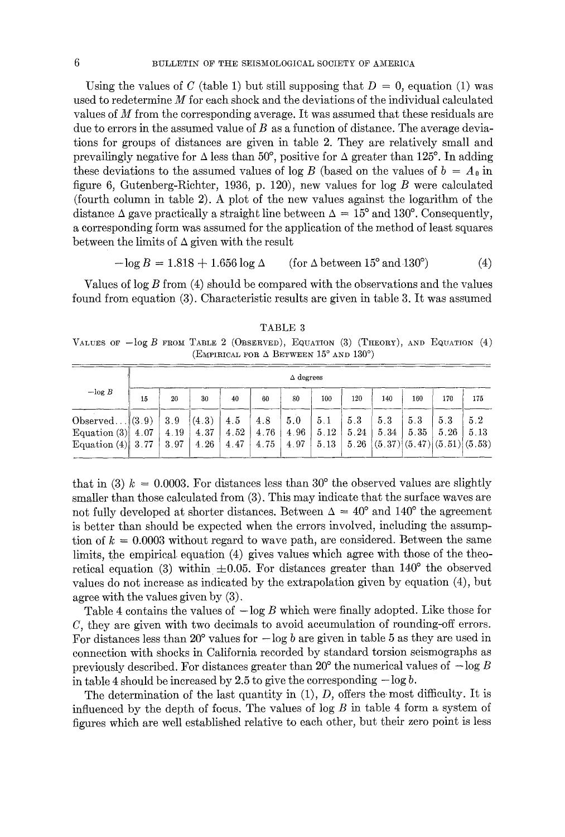Using the values of C (table 1) but still supposing that  $D = 0$ , equation (1) was used to redetermine  $M$  for each shock and the deviations of the individual calculated values of  $M$  from the corresponding average. It was assumed that these residuals are due to errors in the assumed value of  $B$  as a function of distance. The average deviations for groups of distances are given in table 2. They are relatively small and prevailingly negative for  $\Delta$  less than 50°, positive for  $\Delta$  greater than 125°. In adding these deviations to the assumed values of log B (based on the values of  $b = A_0$  in figure 6, Gutenberg-Richter, 1936, p. 120), new values for  $\log B$  were calculated (fourth column in table 2). A plot of the new values against the logarithm of the distance  $\Delta$  gave practically a straight line between  $\Delta = 15^{\circ}$  and 130°. Consequently, a corresponding form was assumed for the application of the method of least squares between the limits of  $\Delta$  given with the result

$$
-\log B = 1.818 + 1.656 \log \Delta \qquad \text{(for } \Delta \text{ between } 15^{\circ} \text{ and } 130^{\circ}) \tag{4}
$$

Values of  $log B$  from  $(4)$  should be compared with the observations and the values found from equation (3). Characteristic results are given in table 3. It was assumed

TABLE 3 VALUES OF  $-\log B$  FROM TABLE 2 (OBSERVED), EQUATION (3) (THEORY), AND EQUATION (4) (EMPIRICAL FOR  $\Delta$  BETWEEN 15° AND 130°)

|                                                                |    |                     |                       |                     |                     | $\Delta$ degrees    |                     |                    |                                                    |             |             |             |
|----------------------------------------------------------------|----|---------------------|-----------------------|---------------------|---------------------|---------------------|---------------------|--------------------|----------------------------------------------------|-------------|-------------|-------------|
| $-\log B$                                                      | 15 | 20                  | 30                    | 40                  | 60                  | 80                  | 100                 | 120                | 140                                                | 160         | 170         | 175         |
| Observed $(3.9)$<br>Equation $(3)$ 4.07<br>Equation $(4)$ 3.77 |    | 3.9<br>4.19<br>3.97 | (4.3)<br>4.37<br>4.26 | 4.5<br>4.52<br>4.47 | 4.8<br>4.76<br>4.75 | 5.0<br>4.96<br>4.97 | 5.1<br>5.12<br>5.13 | 53<br>5.24<br>5.26 | 5.3<br>5.34<br>$(5.37)$ $(5.47)$ $(5.51)$ $(5.53)$ | 5.3<br>5.35 | 5.3<br>5.26 | 5.2<br>5.13 |

that in (3)  $k = 0.0003$ . For distances less than 30° the observed values are slightly smaller than those calculated from (3). This may indicate that the surface waves are not fully developed at shorter distances. Between  $\Delta = 40^{\circ}$  and 140<sup>°</sup> the agreement is better than should be expected when the errors involved, including the assumption of  $k = 0.0003$  without regard to wave path, are considered. Between the same limits, the empirical, equation (4) gives values which agree with those of the theoretical equation (3) within  $\pm 0.05$ . For distances greater than 140<sup>°</sup> the observed values do not increase as indicated by the extrapolation given by equation (4), but agree with the values given by (3).

Table 4 contains the values of  $-\log B$  which were finally adopted. Like those for C, they are given with two decimals to avoid accumulation of rounding-off errors. For distances less than 20 $^{\circ}$  values for  $-\log b$  are given in table 5 as they are used in connection with shocks in California recorded by standard torsion seismographs as previously described. For distances greater than  $20^{\circ}$  the numerical values of  $-\log B$ in table 4 should be increased by 2.5 to give the corresponding  $-\log b$ .

The determination of the last quantity in  $(1)$ , *D*, offers the most difficulty. It is influenced by the depth of focus. The values of  $\log B$  in table 4 form a system of figures which are well established relative to each other, but their zero point is less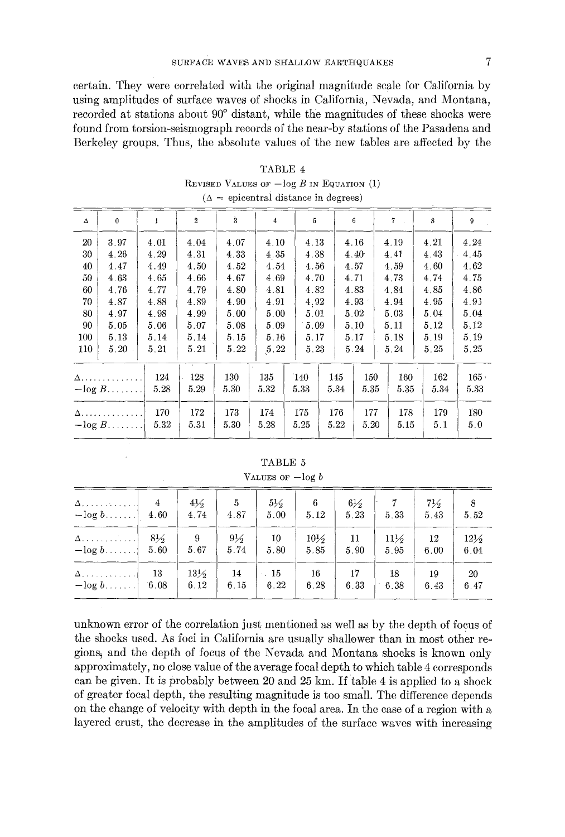### SURFACE WAVES AND SHALLOW EARTHQUAKES

certain. They were correlated with the original magnitude scale for California by using amplitudes of surface waves of shocks in California, Nevada, and Montana, recorded at stations about 90<sup>°</sup> distant, while the magnitudes of these shocks were found from torsion-seismograph records of the near-by stations of the Pasadena and Berkeley groups. Thus, the absolute values of the new tables are affected by the

| Δ   | $\bf{0}$    | 1    | $\overline{2}$ | $\dot{3}$ | $\overline{4}$ | 5    |          | $\boldsymbol{6}$  | 7    | 8    | 9    |
|-----|-------------|------|----------------|-----------|----------------|------|----------|-------------------|------|------|------|
| 20  | 3.97        | 4.01 | 4.04           | 4.07      | 4.10           | 4.13 |          | 4.16              | 4.19 | 4.21 | 4.24 |
| 30  | 4.26        | 4.29 | 4.31           | 4.33      | 4.35           | 4.38 |          | 4.40 <sup>°</sup> | 4.41 | 4.43 | 4.45 |
| 40  | 4.47        | 4.49 | 4.50           | 4.52      | 4.54           | 4.56 |          | 4.57              | 4.59 | 4.60 | 4.62 |
| 50  | 4.63        | 4.65 | 4.66           | 4.67      | 4.69           | 4.70 |          | 4.71              | 4.73 | 4.74 | 4.75 |
| 60  | 4.76        | 4.77 | 4.79           | 4.80      | 4.81           | 4.82 |          | 4.83              | 4.84 | 4.85 | 4.86 |
| 70  | 4.87        | 4.88 | 4.89           | 4.90      | 4.91           | 4.92 |          | 4.93              | 4.94 | 4.95 | 4.93 |
| 80  | 4.97        | 4.98 | 4.99           | 5.00      | 5.00           | 5.01 |          | 5.02              | 5.03 | 5.04 | 5.04 |
| 90  | 5.05        | 5.06 | 5.07           | 5.08      | 5.09           | 5.09 |          | 5.10              | 5.11 | 5.12 | 5.12 |
| 100 | 5.13        | 5.14 | 5.14           | 5.15      | 5.16           | 5.17 |          | 5.17              | 5.18 | 5.19 | 5.19 |
| 110 | 5.20        | 5.21 | 5.21           | 5.22      | 5.22           | 5.23 |          | 5.24              | 5.24 | 5.25 | 5.25 |
|     |             |      |                |           |                |      |          |                   |      |      |      |
|     | $\Delta$ .  | 124  | 128            | 130       | 135            | `140 | 145      | 150               | 160  | 162  | 165. |
|     | $-\log B$   | 5.28 | 5.29           | 5.30      | 5.32           | 5.33 | 5.34     | 5.35              | 5.35 | 5.34 | 5.33 |
|     | A. <i>.</i> | 170  | 172            | 173       | 174            | 175  | 176      | 177               | 178  | 179  | 180  |
|     | $-\log B$   | 5.32 | 5.31           | 5.30      | 5.28           | 5.25 | $5.22\,$ | 5.20              | 5.15 | 5.1  | 5.0  |

| TABLE 4                                     |
|---------------------------------------------|
| Revised Values of $-\log B$ in Equation (1) |
| $(\Delta =$ epicentral distance in degrees) |

TABLE 5

VALUES OF  $-\log b$ 

| $-\log b$ 4.60 | 4              | $4\frac{1}{2}$<br>4.74 | 5<br>4.87      | $5\frac{1}{2}$<br>5.00 | 6<br>5.12       | $6\frac{1}{2}$<br>5.23 | 5.33            | $7\frac{1}{2}$<br>5.43 | 8<br>5.52       |
|----------------|----------------|------------------------|----------------|------------------------|-----------------|------------------------|-----------------|------------------------|-----------------|
| $\Delta$       | $8\frac{1}{2}$ | 9                      | $9\frac{1}{2}$ | 10                     | $10\frac{1}{2}$ | 11                     | $11\frac{1}{2}$ | 12                     | $12\frac{1}{2}$ |
| $-\log b$      | 5.60           | 5.67                   | 5.74           | 5.80                   | 5.85            | 5.90                   | 5.95            | 6.00                   | 6.04            |
| $\Delta$ , 1   | 13             | $13\frac{1}{2}$        | 14             | 15                     | 16              | 17                     | 18              | 19                     | 20              |
| $-\log b$      | 6.08           | 6.12                   | 6.15           | 6.22                   | 6.28            | 6.33                   | 6.38            | 6.43                   | 6.47            |

unknown error of the correlation just mentioned as well as by the depth of focus of the shocks used. As foci in California are usually shallower than in most other regions~ and the depth of focus of the Nevada and Montana shocks is known only approximately, no close value of the average focal depth to which table 4 corresponds can be given. It is probably between 20 and 25 km. If table 4 is applied to a shock of greater focal depth, the resulting magnitude is too small. The difference depends on the change of velocity with depth in the focal area. In the ease of a region with a layered crust, the decrease in the amplitudes of the surface waves with increasing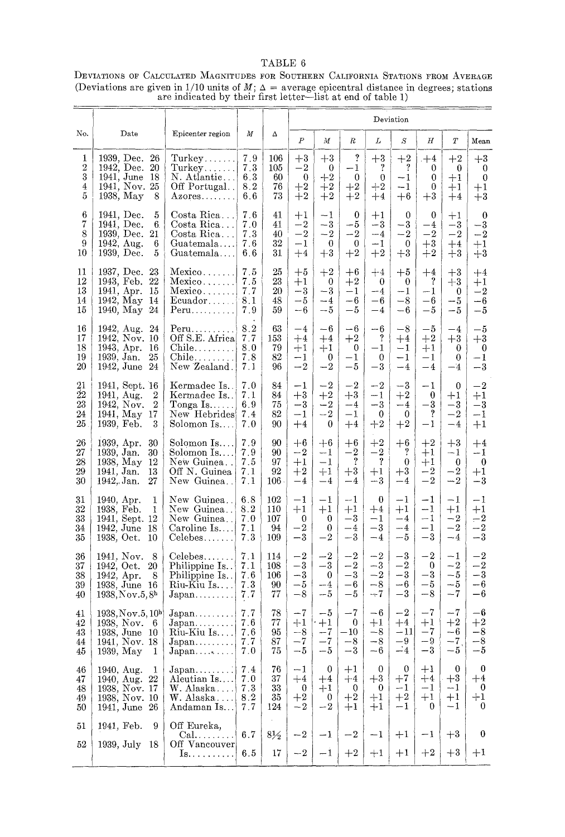# TABLE 6

#### DEVIATIONS OF CALCULATED MAGNITUDES FOR SOUTHERN CALIFORNIA STATIONS FROM AVERAGE (Deviations are given in 1/10 units of  $M$ ;  $\Delta$  = average epicentral distance in degrees; stations are indicated by their first letter--list at end of table 1)

|                                        |                                                                                                        |                                                                                                                               |                                 |                                |                                                |                                          |                                                      |                                              | Deviation                                                  |                                                    |                                            |                                                  |
|----------------------------------------|--------------------------------------------------------------------------------------------------------|-------------------------------------------------------------------------------------------------------------------------------|---------------------------------|--------------------------------|------------------------------------------------|------------------------------------------|------------------------------------------------------|----------------------------------------------|------------------------------------------------------------|----------------------------------------------------|--------------------------------------------|--------------------------------------------------|
| No.                                    | Date                                                                                                   | Epicenter region                                                                                                              | М                               | Δ                              | $\boldsymbol{P}$                               | М                                        | R                                                    | L                                            | S                                                          | Η                                                  | T                                          | Mean                                             |
| 1<br>$\,2$<br>3<br>$\overline{4}$<br>5 | 1939, Dec. 26<br>1942, Dec. 20<br>1941, June 18<br>1941, Nov. 25<br>1938, May<br>8                     | Turkey<br>Turkey<br>N. Atlantic<br>Off Portugal<br>$Azores. \ldots.$                                                          | 7.9<br>7.3<br>6.3<br>8.2<br>6.6 | 106<br>105<br>60<br>76<br>73   | $+3$<br>$^{-2}$<br>$\mathbf 0$<br>$+2$<br>$+2$ | $+3$<br>$\bf{0}$<br>$+2$<br>$+2$<br>$+2$ | ?<br>-1<br>0<br>$+2\,$<br>$+2$                       | $+3$<br>?<br>$\mathbf{0}$<br>$+2$<br>$+4$    | $+2$<br>$\boldsymbol{\mathcal{P}}$<br>$-1$<br>$-1$<br>$+6$ | $+4$<br>0<br>0<br>0<br>$+3\,$                      | $+2$<br>0<br>$+1$<br>$+1$<br>$+4$          | $+3$<br>0<br>$\mathbf{0}$<br>$+1$<br>$\bf+3$     |
| $\boldsymbol{6}$<br>7<br>8<br>9<br>10  | 1941, Dec.<br>5<br>1941, Dec.<br>6.<br>1939, Dec.<br>21<br>1942, Aug.<br>6<br>1939, Dec.<br>5          | Costa Rica<br>Costa Rica<br>Costa Rica<br>Guatemala<br>Guatemala                                                              | 7.6<br>7.0<br>7.3<br>7.6<br>6.6 | 41<br>41<br>40<br>32<br>31     | $+1$<br>$-{\bf 2}$<br>$-2$<br>-1<br>$+4$       | $-1$<br>$^{-3}$<br>$^{-2}$<br>0<br>$+3$  | 0<br>-- 5<br>$-2$<br>$\mathbf 0$<br>$+2$             | $+1$<br>$-3$<br>$-4$<br>$-1$<br>$+2$         | 0<br>-3<br>$-2$<br>$\mathbf{0}$<br>$+3$                    | $\theta$<br>-4<br>$^{-2}$<br>$\substack{+3 \\ +2}$ | $+1$<br>$^{-3}$<br>$-2$<br>$+4$<br>$+3$    | 0<br>$^{-3}$<br>$-2$<br>$+1$<br>$+3$             |
| 11<br>12<br>13<br>14<br>15             | 1937, Dec. 23<br>1943, Feb. 22<br>1941, Apr.<br>15<br>1942, May 14<br>1940, May 24                     | Mexico<br>Mexico<br>Mexico<br>$Ecuador. \ldots$ .<br>$P$ eru                                                                  | 7.5<br>7.5<br>7.7<br>8.1<br>7.9 | 25<br>23<br>20<br>48<br>59     | $+5$<br>$+1$<br>-3<br>-5<br>$-6$               | $+2$<br>0<br>$-3$<br>$-4$<br>-- 5        | $+6$<br>$+2\,$<br>$-1$<br>$-6$<br>$-5$               | $+4$<br>0<br>$-4$<br>-6<br>$-4$              | $+5$<br>$\bf{0}$<br>$-1$<br>$-8$<br>-6                     | $+4$<br>$\mathbf{?}$<br>$-1$<br>-6<br>-5           | $+3$<br>$+3$<br>0<br>-5<br>-- 5            | $+4$<br>+1<br>$-2$<br>$-6$<br>-5                 |
| 16<br>17<br>18<br>19<br>20             | 1942, Aug. 24<br>1942, Nov. 10<br>1943, Apr.<br>16<br>1939, Jan.<br>25<br>1942, June 24                | Peru<br>Off S.E. Africa<br>$\text{Chile} \dots \dots$<br>$\text{Chile} \dots \dots$<br>New Zealand.                           | 8.2<br>7.7<br>8.0<br>7.8<br>7.1 | 63<br>153<br>79<br>82<br>96    | $-4$<br>$+4$<br>$+1$<br>-1<br>$-2$             | -6<br>$+4$<br>+1<br>0<br>$-2$            | -6<br>$+2$<br>$^{0}$<br>$^{-1}$<br>$-5\,$            | -- 6<br>$\hat{?}$<br>-1<br>0<br>$^{-3}$      | $^{-8}$<br>$+4$<br>$-1$<br>$-1$<br>--4                     | $-5$<br>$+2$<br>$+1$<br>$-1$<br>$-4$               | $^{-4}$<br>$+3$<br>0<br>0<br>-4            | $-5$<br>$+3$<br>0<br>$-1$<br>$-3$                |
| 21<br>22<br>23<br>24<br>25             | 1941, Sept. 16<br>1941, Aug.<br>2<br>1942, Nov.<br>2<br>1941, May<br>17<br>1939, Feb.<br>3             | Kermadec Is.<br>Kermadec Is<br>Tonga Is $\ldots$<br>New Hebrides<br>Solomon Is                                                | 7.0<br>7.1<br>6.9<br>7.4<br>7.0 | 84<br>84<br>75<br>82<br>90     | -1<br>$+3$<br>$-3\,$<br>-1<br>$+4$             | $-2$<br>$+2$<br>$-2$<br>$-2$<br>$\bf{0}$ | $^{-2}$<br>$+3$<br>$-4$<br>$^{-1}$<br>$+4$           | $-2$<br>$-1$<br>$-3$<br>$\bf{0}$<br>$+2$     | --3<br>$+2$<br>-4<br>$\theta$<br>$+2$                      | $-1$<br>0<br>$^{-3}$<br>?<br>$-1$                  | 0<br>$+1$<br>$-{\bf 3}$<br>$^{-2}$<br>$-4$ | $^{-2}$<br>$+1$<br>$-{\bf 3}$<br>$-1$<br>$+1$    |
| 26<br>27<br>28<br>29<br>30             | 1939, Apr.<br>30<br>1939, Jan.<br>30<br>1938, May<br>12<br>1941, Jan.<br>13<br>1942, Jan.<br>27        | Solomon Is<br>Solomon Is<br>New Guinea<br>Off N. Guinea<br>New Guinea                                                         | 79<br>7.9<br>7.5<br>7.1<br>7.1  | 90<br>90<br>97<br>92<br>106    | $+6$<br>$-2$<br>$+1$<br>$+2$<br>$-4$           | $+6$<br>$-1$<br>$-1$<br>$+1$<br>$-4$     | $+6$<br>$^{-2}$<br>$\gamma$<br>$+3$<br>$-4$          | $+2$<br>$-2$<br>$\mathbf{?}$<br>$+1$<br>$-3$ | $+6$<br>?<br>$\bf{0}$<br>$+3$<br>$-4$                      | $+2\,$<br>$+1$<br>$+1$<br>$-2$<br>$^{-2}$          | $+3$<br>$-1$<br>0<br>$^{-2}$<br>$-2$       | $+4$<br>$-1$<br>$\bf{0}$<br>$+1$<br>$-3$         |
| 31<br>32<br>33<br>34<br>35             | 1940, Apr.<br>1<br>1938, Feb.<br>1<br>1941, Sept. 12<br>1942, June<br>18<br>1938, Oct.<br>10           | New Guinea<br>New Guinea<br>New Guinea<br>Caroline Is<br>$Celebes$                                                            | 6.8<br>8.2<br>7.0<br>7.1<br>7.3 | 102<br>110<br>107<br>94<br>109 | $^{-1}$<br>$+1$<br>0<br>$^{-2}$<br>-3          | -1<br>$+1$<br>0<br>0<br>$^{-2}$          | -- 1<br>$+1$<br>$^{-3}$<br>$-4$<br>$^{-3}$           | 0<br>$+4$<br>$-1$<br>$-3$<br>$-4$            | $-1$<br>$+1$<br>$-4$<br>$-4$<br>-- 5                       | $-1$<br>$-1$<br>$-1$<br>$^{-1}$<br>$^{-3}$         | $-1$<br>$+1$<br>$-2$<br>$^{-2}$<br>$-4$    | $^{-1}$<br>$+1$<br>$-{\bf 2}$<br>$-2$<br>--3     |
| 36<br>37<br>38<br>39<br>40             | 1941, Nov.<br>8<br>1942, Oct.<br>20<br>1942, Apr.<br>8<br>1938, June 16<br>1938, Nov.5, 8 <sup>h</sup> | $Celebes \ldots$<br>Philippine Is<br>Philippine Is.<br>Riu-Kiu Is<br>$\texttt{Japan} \dots \dots \dots$                       | 7.1<br>7.1<br>7.6<br>7.3<br>7.7 | 114<br>108<br>106<br>90<br>77  | $-2$<br>$-{\sqrt{3}}$<br>$-3$<br>-5<br>$-8$    | $^{-2}$<br>$-3$<br>0<br>--4<br>-- 5      | $^{-2}$<br>$-2$<br>$^{-3}$<br>-6<br>-5               | $-2$<br>$-3$<br>$-2$<br>$-8$<br>$-7$         | $-3$<br>$-{\bf 2}$<br>$-3$<br>-6<br>$^{-3}$                | $-2$<br>$\bf{0}$<br>$-3$<br>-5<br>-8               | $-1$<br>$-2$<br>$-5$<br>$-5$<br>$-7$       | $^{-2}$<br>$-{\bf 2}$<br>$-3$<br>$-6$<br>$-6$    |
| 41<br>42<br>43<br>44<br>45             | 1938, Nov.5, 10 <sup>h</sup><br>1938, Nov. 6<br>1938, June 10<br>1941, Nov. 18<br>1939, May<br>1       | $Japan \ldots \ldots$<br>$\text{Japan} \dots \dots \dots$<br>Riu-Kiu Is<br>$\text{Japan} \dots \dots \dots$<br>$Japan \ldots$ | 7.7<br>7.6<br>7.6<br>7.7<br>7.0 | 78<br>77<br>95<br>87<br>75     | -7<br>$+1$<br>$-8$<br>$^{\rm -7}$<br>$-5$      | $-5$<br>$+1$<br>$-7$<br>$-5\,$           | -- 7<br>$\overline{0}$<br>$10^{-5}$<br>-8<br>$^{-3}$ | $-6$<br>$+1$<br>$-8$<br>$-8$<br>$-6$         | $^{-2}$<br>$\color{red}{+4}$<br>$-11$<br>-9<br>$-4$        | $-7\,$<br>$+1$<br>-7<br>$-9$<br>-3                 | $-7$<br>$\bf+2$<br>$-6$<br>$-7$<br>$-5$    | $-6$<br>$\bf+2$<br>$-8$<br>$-8$<br>-5            |
| 46<br>47<br>48<br>49<br>50             | 1940, Aug.<br>1<br>1940, Aug. 22<br>1938, Nov. 17<br>1938, Nov. 10<br>1941, June 26                    | $Japan \ldots \ldots$<br>Aleutian Is<br>W. Alaska<br>W. Alaska<br>Andaman Is                                                  | 7.4<br>7.0<br>7.3<br>82<br>7.7  | 76<br>37<br>33<br>35<br>124    | $^{-1}$<br>$+4$<br>$\bf{0}$<br>$+2$<br>$-2$    | 0<br>$+4$<br>$+1$<br>0<br>$-2$           | $+1$<br>$+4$<br>$^{0}$<br>$\bf+2$<br>$+1$            | $\bf{0}$<br>$+3$<br>$\bf{0}$<br>$+1$<br>$+1$ | 0<br>$+7$<br>$-1$<br>$+2$<br>$^{-1}$                       | $+1$<br>$+4$<br>$-1$<br>$+1$<br>$\bf{0}$           | $\bf{0}$<br>$+3$<br>-- 1<br>$+1$<br>$-1$   | $\bf{0}$<br>$+4$<br>$\bf{0}$<br>$+1$<br>$\theta$ |
| 51<br>52                               | 1941, Feb.<br>9<br>1939, July 18                                                                       | Off Eureka,<br>Cal.<br>Off Vancouver<br>Is.                                                                                   | 6.7<br>6.5                      | $8\frac{1}{2}$<br>17           | $-{\bf 2}$<br>$-2$                             | $-1$<br>$-1$                             | $^{-2}$<br>$+2$                                      | $-1$<br>$+1$                                 | $+1$<br>$+1$                                               | $^{-1}$<br>$+2$                                    | $+3$<br>$+3$                               | $\bf{0}$<br>$+1$                                 |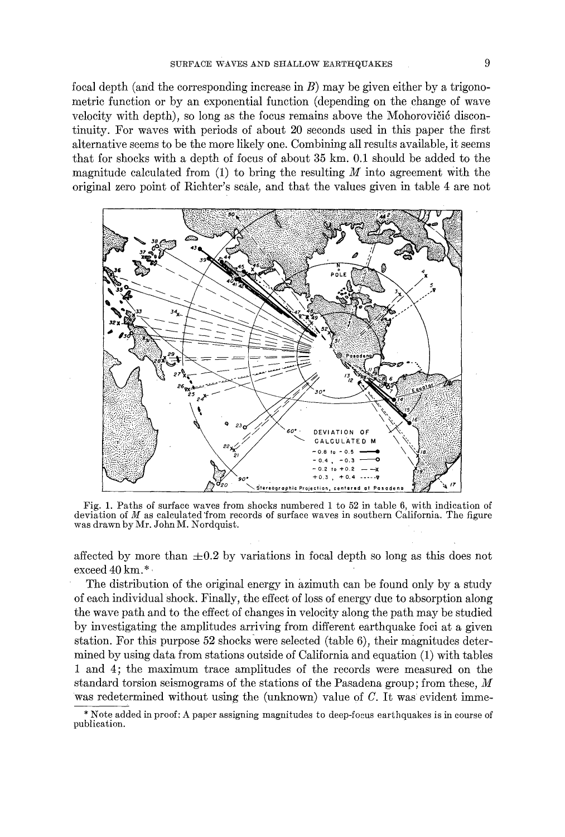focal depth (and the corresponding increase in  $B$ ) may be given either by a trigonometric function or by an exponential function (depending on the change of wave velocity with depth), so long as the focus remains above the Mohorovičić discontinuity. For waves with periods of about 20 seconds used in this paper the first alternative seems to be the more likely one. Combining all results available, it seems that for shocks with a depth of focus of about 35 km. 0.1 should be added to the magnitude calculated from  $(1)$  to bring the resulting M into agreement with the original zero point of Richter's scale, and that the values given in table 4 are not



Fig. 1. Paths of surface waves from shocks numbered 1 to 52 in table 6, with indication of deviation of  $M$  as calculated from records of surface waves in southern California. The figure was drawn by Mr. John M. Nordquist.

affected by more than  $\pm 0.2$  by variations in focal depth so long as this does not exceed 40 km.\*.

The distribution of the original energy in azimuth can be found only by a study of each individual shock. Finally, the effect of loss of energy due to absorption along the wave path and to the effect of changes in velocity along the path may be studied by investigating the amplitudes arriving from different earthquake foci at a given station. For this purpose  $52$  shocks were selected (table 6), their magnitudes determined by using data from stations outside of California and equation (1) with tables 1 and 4; the maximum trace amplitudes of the records were measured on the standard torsion seismograms of the stations of the Pasadena group; from these, M was redetermined without using the (unknown) value of  $C$ . It was evident imme-

<sup>\*</sup> Note added in proof: A paper assigning magnitudes to deep-focus earthquakes is in course of publication.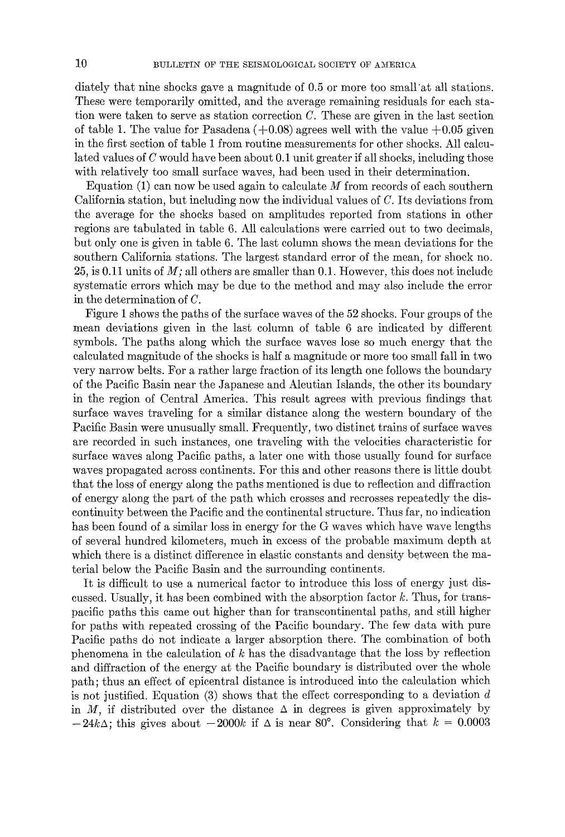diately that nine shocks gave a magnitude of 0.5 or more too small'at all stations. These were temporarily omitted, and the average remaining residuals for each station were taken to serve as station correction  $C$ . These are given in the last section of table 1. The value for Pasadena  $(+0.08)$  agrees well with the value  $+0.05$  given in the first section of table 1 from routine measurements for other shocks. All calculated values of C would have been about 0.1 unit greater if all shocks, including those with relatively too small surface waves, had been used in their determination.

Equation  $(1)$  can now be used again to calculate M from records of each southern California station, but including now the individual values of C. Its deviations from the average for the shocks based on amplitudes reported from stations in other regions are tabulated in table 6. All calculations were carried out to two decimals, but only one is given in table 6. The last column shows the mean deviations for the southern California stations. The largest standard error of the mean, for shock no. 25, is 0.11 units of *M;* all others are smaller than 0.1. However, this does not include systematic errors which may be due to the method and may also include the error in the determination of C.

Figure 1 shows the paths of the surface waves of the 52 shocks. Four groups of the mean deviations given in the last column of table 6 are indicated by different symbols. The paths along which the surface waves lose so much energy that the calculated magnitude of the shocks is half a magnitude or more too small fall in two very narrow belts. For a rather large fraction of its length one follows the boundary of the Pacific Basin near the Japanese and Aleutian Islands, the other its boundary in the region of Central America. This result agrees with previous findings that surface waves traveling for a similar distance along the western boundary of the Pacific Basin were unusually small. Frequently, two distinct trains of surface waves are recorded in such instances, one traveling with the velocities characteristic for surface waves along Pacific paths, a later one with those usually found for surface waves propagated across continents. For this and other reasons there is little doubt that the loss of energy along the paths mentioned is due to reflection and diffraction of energy along the part of the path which crosses and recrosses repeatedly the discontinuity between the Pacific and the continental structure. Thus far, no indication has been found of a similar loss in energy for the G waves which have wave lengths of several hundred kilometers, much in excess of the probable maximum depth at which there is a distinct difference in elastic constants and density between the material below the Pacific Basin and the surrounding continents.

It is difficult to use a numerical factor to introduce this loss of energy just discussed. Usually, it has been combined with the absorption factor  $k$ . Thus, for transpacific paths this came out higher than for transcontinental paths, and still higher for paths with repeated crossing of the Pacific boundary. The few data with pure Pacific paths do not indicate a larger absorption there. The combination of both phenomena in the calculation of k has the disadvantage that the loss by reflection and diffraction of the energy at the Pacific boundary is distributed over the whole path; thus an effect of epicentral distance is introduced into the calculation which is not justified. Equation  $(3)$  shows that the effect corresponding to a deviation d in M, if distributed over the distance  $\Delta$  in degrees is given approximately by  $-24k\Delta$ ; this gives about  $-2000k$  if  $\Delta$  is near 80°. Considering that  $k = 0.0003$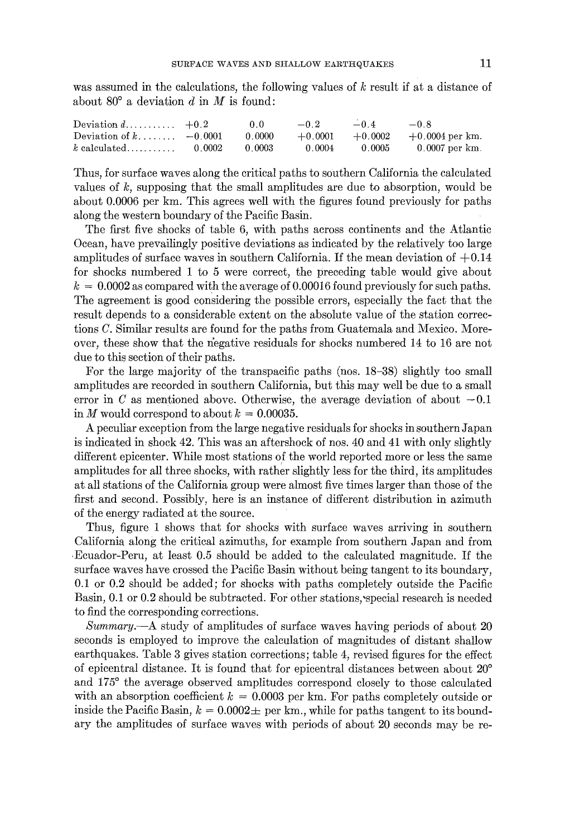was assumed in the calculations, the following values of k result if at a distance of about  $80^{\circ}$  a deviation d in M is found:

| Deviation $d$ $+0.2$                                                  | 00- | $-0.2$ $-0.4$ $-0.8$ |                                    |
|-----------------------------------------------------------------------|-----|----------------------|------------------------------------|
| Deviation of k $-0.0001$ 0.0000 $+0.0001$ $+0.0002$ $+0.0004$ per km. |     |                      |                                    |
| $k \text{ calculated} \dots \dots \dots \dots 0.0002 \qquad 0.0003$   |     |                      | $0.0004$ $0.0005$ $0.0007$ per km. |

Thus, for surface waves along the critical paths to southern California the calculated values of k, supposing that the small amplitudes are due to absorption, would be about 0.0006 per km. This agrees well with the figures found previously for paths along the western boundary of the Pacific Basin.

The first five shocks of table 6, with paths across continents and the Atlantic Ocean, have prevailingly positive deviations as indicated by the relatively too large amplitudes of surface waves in southern California. If the mean deviation of  $+0.14$ for shocks numbered 1 to 5 were correct, the preceding table would give about  $k = 0.0002$  as compared with the average of 0.00016 found previously for such paths. The agreement is good considering the possible errors, especially the fact that the result depends to a considerable extent on the absolute value of the station correetions C. Similar results are found for the paths from Guatemala and Mexico. Moreover, these show that the negative residuals for shocks numbered 14 to 16 are not due to this section of their paths.

For the large majority of the transpacific paths (nos. 18-38) slightly too small amplitudes are recorded in southern California, but this may well be due to a small error in C as mentioned above. Otherwise, the average deviation of about  $-0.1$ in M would correspond to about  $k = 0.00035$ .

A peculiar exception from the large negative residuals for shocks in southern Japan is indicated in shock 42. This was an aftershock of nos. 40 and 41 with only slightly different epicenter. While most stations of the world reported more or less the same amplitudes for all three shocks, with rather slightly less for the third, its amplitudes at all stations of the California group were almost five times larger than those of the first and second. Possibly, here is an instance of different distribution in azimuth of the energy radiated at the source.

Thus, figure 1 shows that for shocks with surface waves arriving in southern California along the critical azimuths, for example from southern Japan and from ,Ecuador-Peru, at least 0.5 should be added to the calculated magnitude. If the surface waves have crossed the Pacific Basin without being tangent to its boundary, 0.1 or 0.2 should be added; for shocks with paths completely outside the Pacific Basin, 0.1 or 0.2 should be subtracted. For other stations, special research is needed to find the corresponding corrections.

*Summary.--A* study of amplitudes of surface waves having periods of about 20 seconds is employed to improve the calculation of magnitudes of distant shallow earthquakes. Table 3 gives station corrections; table 4, revised figures for the effect of epicentral distance. It is found that for epicentral distances between about  $20^{\circ}$ and 175<sup>°</sup> the average observed amplitudes correspond closely to those calculated with an absorption coefficient  $k = 0.0003$  per km. For paths completely outside or inside the Pacific Basin,  $k = 0.0002 \pm$  per km., while for paths tangent to its boundary the amplitudes of surface waves with periods of about 20 seconds may be re